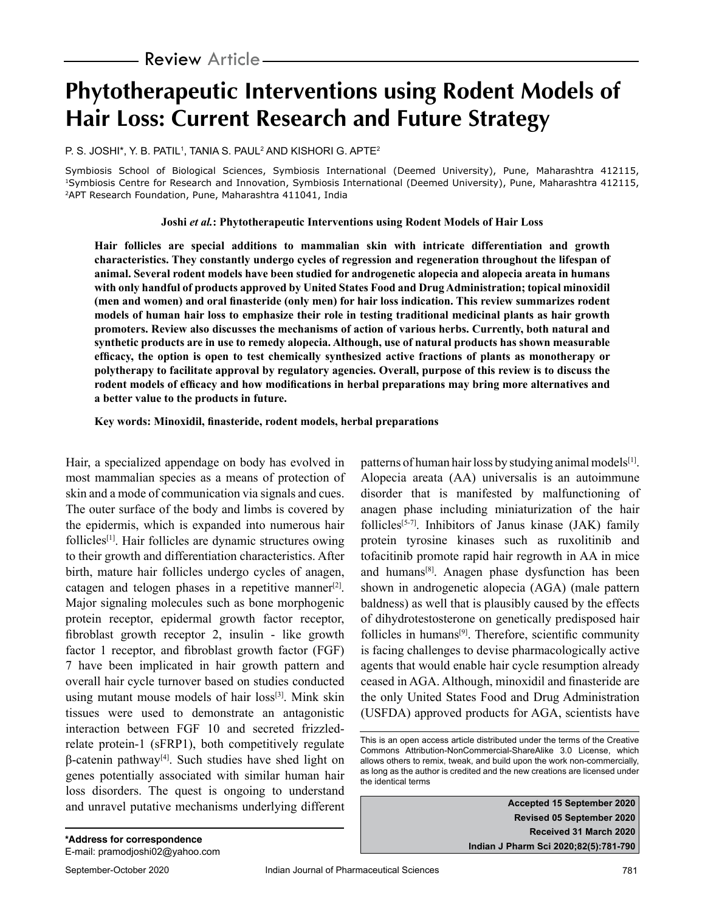# **Phytotherapeutic Interventions using Rodent Models of Hair Loss: Current Research and Future Strategy**

p. s. Joshi\*, Y. B. Patil1, Tania S. Paul $^{\rm 2}$  and Kishori G. Apte $^{\rm 2}$ 

Symbiosis School of Biological Sciences, Symbiosis International (Deemed University), Pune, Maharashtra 412115, 1Symbiosis Centre for Research and Innovation, Symbiosis International (Deemed University), Pune, Maharashtra 412115, 2APT Research Foundation, Pune, Maharashtra 411041, India

**Joshi** *et al.***: Phytotherapeutic Interventions using Rodent Models of Hair Loss**

**Hair follicles are special additions to mammalian skin with intricate differentiation and growth characteristics. They constantly undergo cycles of regression and regeneration throughout the lifespan of animal. Several rodent models have been studied for androgenetic alopecia and alopecia areata in humans with only handful of products approved by United States Food and Drug Administration; topical minoxidil (men and women) and oral finasteride (only men) for hair loss indication. This review summarizes rodent models of human hair loss to emphasize their role in testing traditional medicinal plants as hair growth promoters. Review also discusses the mechanisms of action of various herbs. Currently, both natural and synthetic products are in use to remedy alopecia. Although, use of natural products has shown measurable efficacy, the option is open to test chemically synthesized active fractions of plants as monotherapy or polytherapy to facilitate approval by regulatory agencies. Overall, purpose of this review is to discuss the rodent models of efficacy and how modifications in herbal preparations may bring more alternatives and a better value to the products in future.**

**Key words: Minoxidil, finasteride, rodent models, herbal preparations**

Hair, a specialized appendage on body has evolved in most mammalian species as a means of protection of skin and a mode of communication via signals and cues. The outer surface of the body and limbs is covered by the epidermis, which is expanded into numerous hair follicles[1]. Hair follicles are dynamic structures owing to their growth and differentiation characteristics. After birth, mature hair follicles undergo cycles of anagen, catagen and telogen phases in a repetitive manner $[2]$ . Major signaling molecules such as bone morphogenic protein receptor, epidermal growth factor receptor, fibroblast growth receptor 2, insulin - like growth factor 1 receptor, and fibroblast growth factor (FGF) 7 have been implicated in hair growth pattern and overall hair cycle turnover based on studies conducted using mutant mouse models of hair loss<sup>[3]</sup>. Mink skin tissues were used to demonstrate an antagonistic interaction between FGF 10 and secreted frizzledrelate protein-1 (sFRP1), both competitively regulate β-catenin pathway[4]. Such studies have shed light on genes potentially associated with similar human hair loss disorders. The quest is ongoing to understand and unravel putative mechanisms underlying different

patterns of human hair loss by studying animal models[1]. Alopecia areata (AA) universalis is an autoimmune disorder that is manifested by malfunctioning of anagen phase including miniaturization of the hair follicles<sup>[5-7]</sup>. Inhibitors of Janus kinase (JAK) family protein tyrosine kinases such as ruxolitinib and tofacitinib promote rapid hair regrowth in AA in mice and humans[8]. Anagen phase dysfunction has been shown in androgenetic alopecia (AGA) (male pattern baldness) as well that is plausibly caused by the effects of dihydrotestosterone on genetically predisposed hair follicles in humans $[9]$ . Therefore, scientific community is facing challenges to devise pharmacologically active agents that would enable hair cycle resumption already ceased in AGA. Although, minoxidil and finasteride are the only United States Food and Drug Administration (USFDA) approved products for AGA, scientists have

**Accepted 15 September 2020 Revised 05 September 2020 Received 31 March 2020 Indian J Pharm Sci 2020;82(5):781-790**

This is an open access article distributed under the terms of the Creative Commons Attribution-NonCommercial-ShareAlike 3.0 License, which allows others to remix, tweak, and build upon the work non-commercially, as long as the author is credited and the new creations are licensed under the identical terms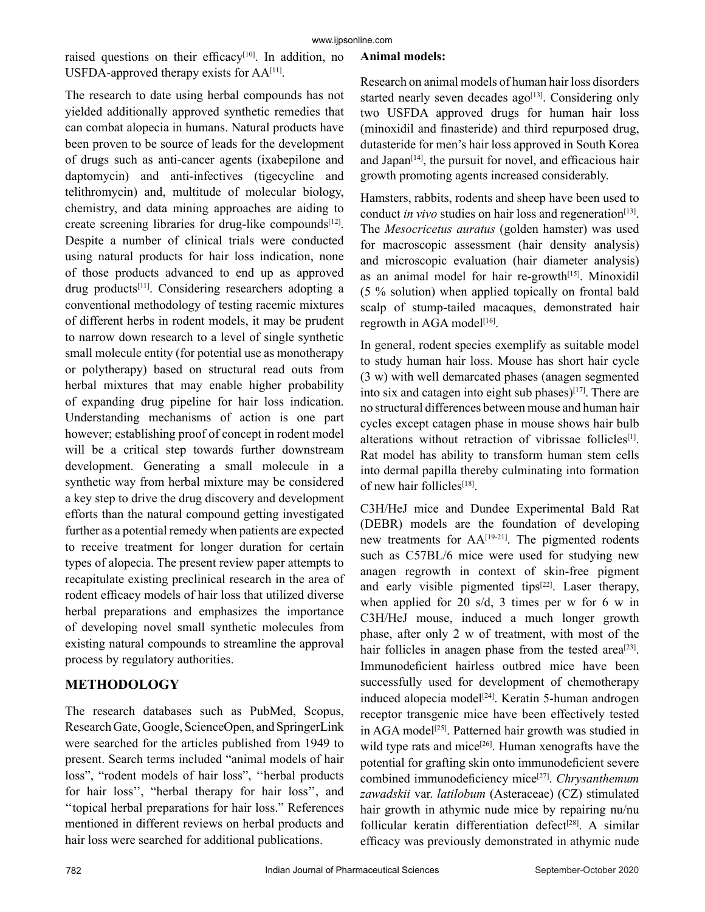raised questions on their efficacy<sup>[10]</sup>. In addition, no USFDA-approved therapy exists for AA[11].

The research to date using herbal compounds has not yielded additionally approved synthetic remedies that can combat alopecia in humans. Natural products have been proven to be source of leads for the development of drugs such as anti-cancer agents (ixabepilone and daptomycin) and anti-infectives (tigecycline and telithromycin) and, multitude of molecular biology, chemistry, and data mining approaches are aiding to create screening libraries for drug-like compounds<sup>[12]</sup>. Despite a number of clinical trials were conducted using natural products for hair loss indication, none of those products advanced to end up as approved drug products[11]. Considering researchers adopting a conventional methodology of testing racemic mixtures of different herbs in rodent models, it may be prudent to narrow down research to a level of single synthetic small molecule entity (for potential use as monotherapy or polytherapy) based on structural read outs from herbal mixtures that may enable higher probability of expanding drug pipeline for hair loss indication. Understanding mechanisms of action is one part however; establishing proof of concept in rodent model will be a critical step towards further downstream development. Generating a small molecule in a synthetic way from herbal mixture may be considered a key step to drive the drug discovery and development efforts than the natural compound getting investigated further as a potential remedy when patients are expected to receive treatment for longer duration for certain types of alopecia. The present review paper attempts to recapitulate existing preclinical research in the area of rodent efficacy models of hair loss that utilized diverse herbal preparations and emphasizes the importance of developing novel small synthetic molecules from existing natural compounds to streamline the approval process by regulatory authorities.

# **METHODOLOGY**

The research databases such as PubMed, Scopus, Research Gate, Google, ScienceOpen, and SpringerLink were searched for the articles published from 1949 to present. Search terms included "animal models of hair loss", "rodent models of hair loss", ''herbal products for hair loss'', "herbal therapy for hair loss'', and ''topical herbal preparations for hair loss." References mentioned in different reviews on herbal products and hair loss were searched for additional publications.

#### **Animal models:**

Research on animal models of human hair loss disorders started nearly seven decades ago<sup>[13]</sup>. Considering only two USFDA approved drugs for human hair loss (minoxidil and finasteride) and third repurposed drug, dutasteride for men's hair loss approved in South Korea and Japan $[14]$ , the pursuit for novel, and efficacious hair growth promoting agents increased considerably.

Hamsters, rabbits, rodents and sheep have been used to conduct *in vivo* studies on hair loss and regeneration<sup>[13]</sup>. The *Mesocricetus auratus* (golden hamster) was used for macroscopic assessment (hair density analysis) and microscopic evaluation (hair diameter analysis) as an animal model for hair re-growth<sup>[15]</sup>. Minoxidil (5 % solution) when applied topically on frontal bald scalp of stump-tailed macaques, demonstrated hair regrowth in AGA model<sup>[16]</sup>.

In general, rodent species exemplify as suitable model to study human hair loss. Mouse has short hair cycle (3 w) with well demarcated phases (anagen segmented into six and catagen into eight sub phases) $[17]$ . There are no structural differences between mouse and human hair cycles except catagen phase in mouse shows hair bulb alterations without retraction of vibrissae follicles<sup>[1]</sup>. Rat model has ability to transform human stem cells into dermal papilla thereby culminating into formation of new hair follicles[18].

C3H/HeJ mice and Dundee Experimental Bald Rat (DEBR) models are the foundation of developing new treatments for AA[19-21]. The pigmented rodents such as C57BL/6 mice were used for studying new anagen regrowth in context of skin-free pigment and early visible pigmented tips $[22]$ . Laser therapy, when applied for 20 s/d, 3 times per w for 6 w in C3H/HeJ mouse, induced a much longer growth phase, after only 2 w of treatment, with most of the hair follicles in anagen phase from the tested area<sup>[23]</sup>. Immunodeficient hairless outbred mice have been successfully used for development of chemotherapy induced alopecia model<sup>[24]</sup>. Keratin 5-human androgen receptor transgenic mice have been effectively tested in AGA model<sup>[25]</sup>. Patterned hair growth was studied in wild type rats and mice<sup>[26]</sup>. Human xenografts have the potential for grafting skin onto immunodeficient severe combined immunodeficiency mice[27]. *Chrysanthemum zawadskii* var. *latilobum* (Asteraceae) (CZ) stimulated hair growth in athymic nude mice by repairing nu/nu follicular keratin differentiation defect<sup>[28]</sup>. A similar efficacy was previously demonstrated in athymic nude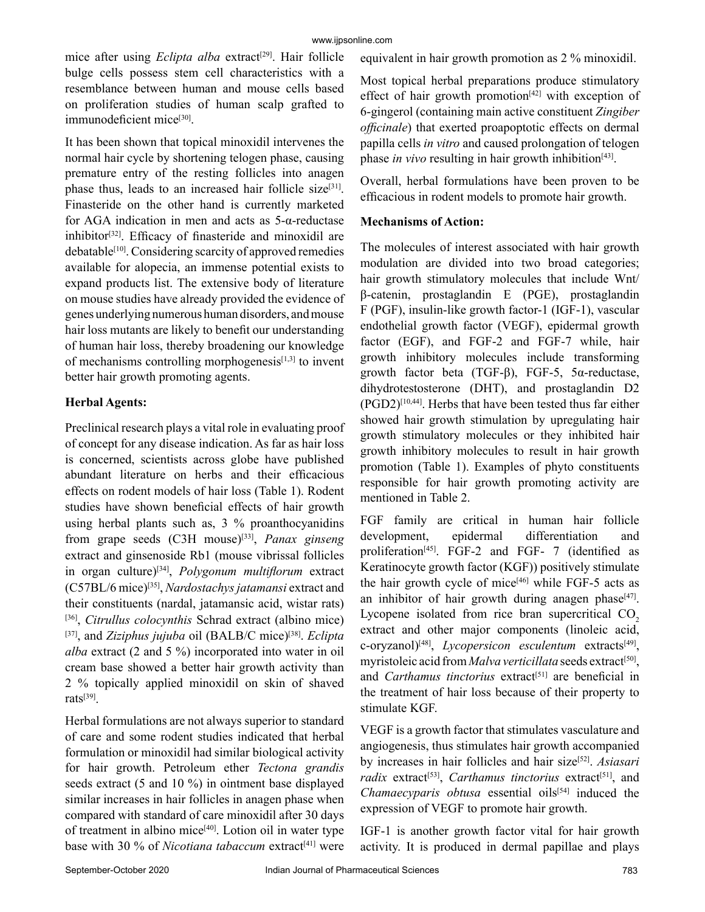mice after using *Eclipta alba* extract<sup>[29]</sup>. Hair follicle bulge cells possess stem cell characteristics with a resemblance between human and mouse cells based on proliferation studies of human scalp grafted to immunodeficient mice<sup>[30]</sup>.

It has been shown that topical minoxidil intervenes the normal hair cycle by shortening telogen phase, causing premature entry of the resting follicles into anagen phase thus, leads to an increased hair follicle size<sup>[31]</sup>. Finasteride on the other hand is currently marketed for AGA indication in men and acts as 5-α-reductase  $inhibitor^{[32]}$ . Efficacy of finasteride and minoxidil are debatable<sup>[10]</sup>. Considering scarcity of approved remedies available for alopecia, an immense potential exists to expand products list. The extensive body of literature on mouse studies have already provided the evidence of genes underlying numerous human disorders, and mouse hair loss mutants are likely to benefit our understanding of human hair loss, thereby broadening our knowledge of mechanisms controlling morphogenesis<sup>[1,3]</sup> to invent better hair growth promoting agents.

## **Herbal Agents:**

Preclinical research plays a vital role in evaluating proof of concept for any disease indication. As far as hair loss is concerned, scientists across globe have published abundant literature on herbs and their efficacious effects on rodent models of hair loss (Table 1). Rodent studies have shown beneficial effects of hair growth using herbal plants such as, 3 % proanthocyanidins from grape seeds (C3H mouse)[33], *Panax ginseng* extract and ginsenoside Rb1 (mouse vibrissal follicles in organ culture)[34], *Polygonum multiflorum* extract (C57BL/6 mice)[35], *Nardostachys jatamansi* extract and their constituents (nardal, jatamansic acid, wistar rats) [36], *Citrullus colocynthis* Schrad extract (albino mice) [37], and *Ziziphus jujuba* oil (BALB/C mice)<sup>[38]</sup>. *Eclipta alba* extract (2 and 5 %) incorporated into water in oil cream base showed a better hair growth activity than 2 % topically applied minoxidil on skin of shaved rats[39].

Herbal formulations are not always superior to standard of care and some rodent studies indicated that herbal formulation or minoxidil had similar biological activity for hair growth. Petroleum ether *Tectona grandis* seeds extract (5 and 10 %) in ointment base displayed similar increases in hair follicles in anagen phase when compared with standard of care minoxidil after 30 days of treatment in albino mice<sup>[40]</sup>. Lotion oil in water type base with 30 % of *Nicotiana tabaccum* extract<sup>[41]</sup> were equivalent in hair growth promotion as 2 % minoxidil.

Most topical herbal preparations produce stimulatory effect of hair growth promotion $[42]$  with exception of 6-gingerol (containing main active constituent *Zingiber officinale*) that exerted proapoptotic effects on dermal papilla cells *in vitro* and caused prolongation of telogen phase *in vivo* resulting in hair growth inhibition<sup>[43]</sup>.

Overall, herbal formulations have been proven to be efficacious in rodent models to promote hair growth.

## **Mechanisms of Action:**

The molecules of interest associated with hair growth modulation are divided into two broad categories; hair growth stimulatory molecules that include Wnt/ β-catenin, prostaglandin E (PGE), prostaglandin F (PGF), insulin-like growth factor-1 (IGF-1), vascular endothelial growth factor (VEGF), epidermal growth factor (EGF), and FGF-2 and FGF-7 while, hair growth inhibitory molecules include transforming growth factor beta (TGF-β), FGF-5, 5α-reductase, dihydrotestosterone (DHT), and prostaglandin D2 (PGD2)[10,44]. Herbs that have been tested thus far either showed hair growth stimulation by upregulating hair growth stimulatory molecules or they inhibited hair growth inhibitory molecules to result in hair growth promotion (Table 1). Examples of phyto constituents responsible for hair growth promoting activity are mentioned in Table 2.

FGF family are critical in human hair follicle development, epidermal differentiation and proliferation<sup>[45]</sup>. FGF-2 and FGF- 7 (identified as Keratinocyte growth factor (KGF)) positively stimulate the hair growth cycle of mice<sup>[46]</sup> while FGF-5 acts as an inhibitor of hair growth during anagen phase $[47]$ . Lycopene isolated from rice bran supercritical  $CO<sub>2</sub>$ extract and other major components (linoleic acid, c-oryzanol)[48], *Lycopersicon esculentum* extracts[49], myristoleic acid from *Malva verticillata* seeds extract<sup>[50]</sup>, and *Carthamus tinctorius* extract<sup>[51]</sup> are beneficial in the treatment of hair loss because of their property to stimulate KGF.

VEGF is a growth factor that stimulates vasculature and angiogenesis, thus stimulates hair growth accompanied by increases in hair follicles and hair size[52]. *Asiasari*  radix extract<sup>[53]</sup>, *Carthamus tinctorius* extract<sup>[51]</sup>, and *Chamaecyparis obtusa* essential oils<sup>[54]</sup> induced the expression of VEGF to promote hair growth.

IGF-1 is another growth factor vital for hair growth activity. It is produced in dermal papillae and plays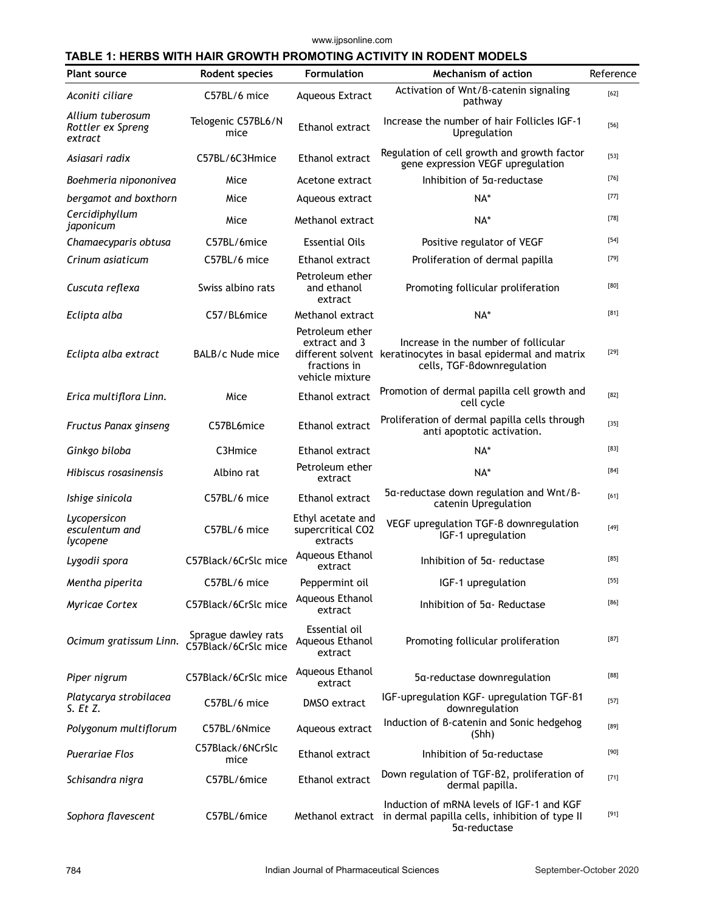www.ijpsonline.com

#### **TABLE 1: HERBS WITH HAIR GROWTH PROMOTING ACTIVITY IN RODENT MODELS**

| <b>Plant source</b>                              | Rodent species                              | <b>Formulation</b>                                                  | <b>Mechanism of action</b>                                                                                                          | Reference |
|--------------------------------------------------|---------------------------------------------|---------------------------------------------------------------------|-------------------------------------------------------------------------------------------------------------------------------------|-----------|
| Aconiti ciliare                                  | C57BL/6 mice                                | <b>Aqueous Extract</b>                                              | Activation of Wnt/B-catenin signaling<br>pathway                                                                                    | $[62]$    |
| Allium tuberosum<br>Rottler ex Spreng<br>extract | Telogenic C57BL6/N<br>mice                  | Ethanol extract                                                     | Increase the number of hair Follicles IGF-1<br>Upregulation                                                                         | $[56]$    |
| Asiasari radix                                   | C57BL/6C3Hmice                              | Ethanol extract                                                     | Regulation of cell growth and growth factor<br>gene expression VEGF upregulation                                                    | $[53]$    |
| Boehmeria nipononivea                            | Mice                                        | Acetone extract                                                     | Inhibition of 5a-reductase                                                                                                          | $[76]$    |
| bergamot and boxthorn                            | Mice                                        | Aqueous extract                                                     | NA*                                                                                                                                 | $[77]$    |
| Cercidiphyllum<br>japonicum                      | Mice                                        | Methanol extract                                                    | NA*                                                                                                                                 | $[78]$    |
| Chamaecyparis obtusa                             | C57BL/6mice                                 | <b>Essential Oils</b>                                               | Positive regulator of VEGF                                                                                                          | $[54]$    |
| Crinum asiaticum                                 | C57BL/6 mice                                | Ethanol extract                                                     | Proliferation of dermal papilla                                                                                                     | $[79]$    |
| Cuscuta reflexa                                  | Swiss albino rats                           | Petroleum ether<br>and ethanol<br>extract                           | Promoting follicular proliferation                                                                                                  | [80]      |
| Eclipta alba                                     | C57/BL6mice                                 | Methanol extract                                                    | NA*                                                                                                                                 | $[81]$    |
| Eclipta alba extract                             | BALB/c Nude mice                            | Petroleum ether<br>extract and 3<br>fractions in<br>vehicle mixture | Increase in the number of follicular<br>different solvent keratinocytes in basal epidermal and matrix<br>cells, TGF-Bdownregulation | $[29]$    |
| Erica multiflora Linn.                           | Mice                                        | Ethanol extract                                                     | Promotion of dermal papilla cell growth and<br>cell cycle                                                                           | $[82]$    |
| Fructus Panax ginseng                            | C57BL6mice                                  | Ethanol extract                                                     | Proliferation of dermal papilla cells through<br>anti apoptotic activation.                                                         | $[35]$    |
| Ginkgo biloba                                    | C3Hmice                                     | Ethanol extract                                                     | NA*                                                                                                                                 | $[83]$    |
| Hibiscus rosasinensis                            | Albino rat                                  | Petroleum ether<br>extract                                          | NA*                                                                                                                                 | $[84]$    |
| Ishige sinicola                                  | C57BL/6 mice                                | Ethanol extract                                                     | 5a-reductase down regulation and Wnt/B-<br>catenin Upregulation                                                                     | [61]      |
| Lycopersicon<br>esculentum and<br>lycopene       | C57BL/6 mice                                | Ethyl acetate and<br>supercritical CO2<br>extracts                  | VEGF upregulation TGF-B downregulation<br>IGF-1 upregulation                                                                        | $[49]$    |
| Lygodii spora                                    | C57Black/6CrSlc mice                        | Aqueous Ethanol<br>extract                                          | Inhibition of 5a- reductase                                                                                                         | $[85]$    |
| Mentha piperita                                  | C57BL/6 mice                                | Peppermint oil                                                      | IGF-1 upregulation                                                                                                                  | $[55]$    |
| Myricae Cortex                                   | C57Black/6CrSlc mice                        | Aqueous Ethanol<br>extract                                          | Inhibition of 5a-Reductase                                                                                                          | $[86]$    |
| Ocimum gratissum Linn.                           | Sprague dawley rats<br>C57Black/6CrSlc mice | Essential oil<br>Aqueous Ethanol<br>extract                         | Promoting follicular proliferation                                                                                                  | $[87]$    |
| Piper nigrum                                     | C57Black/6CrSlc mice                        | Aqueous Ethanol<br>extract                                          | 5a-reductase downregulation                                                                                                         | [88]      |
| Platycarya strobilacea<br>$S.$ Et Z.             | C57BL/6 mice                                | DMSO extract                                                        | IGF-upregulation KGF- upregulation TGF-B1<br>downregulation                                                                         | $[57]$    |
| Polygonum multiflorum                            | C57BL/6Nmice                                | Aqueous extract                                                     | Induction of B-catenin and Sonic hedgehog<br>(Shh)                                                                                  | [89]      |
| <b>Puerariae Flos</b>                            | C57Black/6NCrSlc<br>mice                    | Ethanol extract                                                     | Inhibition of 5a-reductase                                                                                                          | $[90]$    |
| Schisandra nigra                                 | C57BL/6mice                                 | Ethanol extract                                                     | Down regulation of TGF-B2, proliferation of<br>dermal papilla.                                                                      | $[71]$    |
| Sophora flavescent                               | C57BL/6mice                                 |                                                                     | Induction of mRNA levels of IGF-1 and KGF<br>Methanol extract in dermal papilla cells, inhibition of type II<br>5a-reductase        | $[91]$    |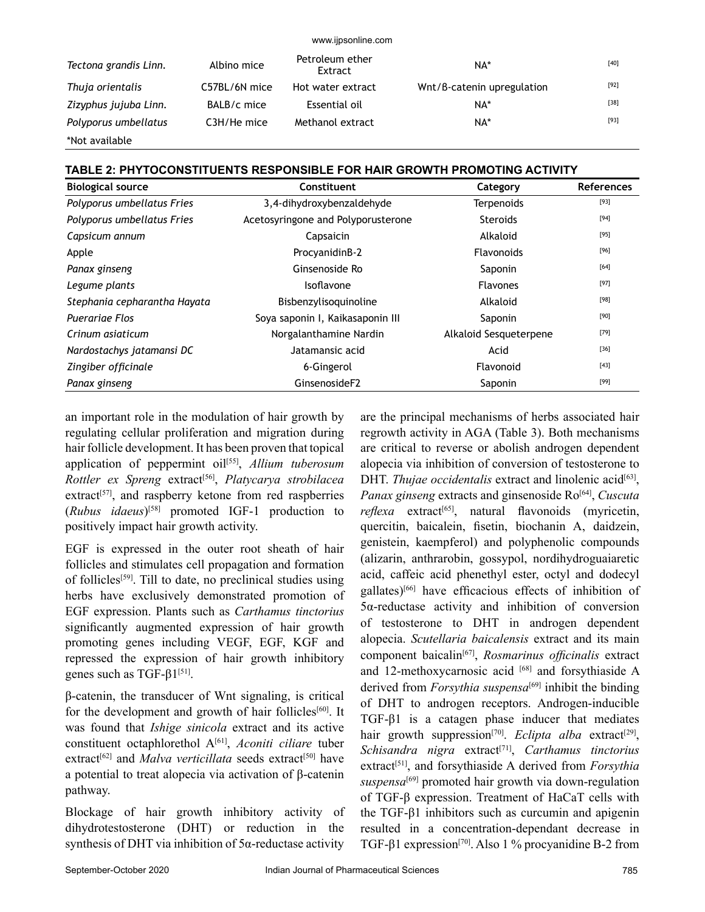| Tectona grandis Linn. | Albino mice   | Petroleum ether<br>Extract | NA*                        | $[40]$ |
|-----------------------|---------------|----------------------------|----------------------------|--------|
| Thuja orientalis      | C57BL/6N mice | Hot water extract          | Wnt/B-catenin upregulation | $[92]$ |
| Zizyphus jujuba Linn. | BALB/c mice   | Essential oil              | NA*                        | $[38]$ |
| Polyporus umbellatus  | C3H/He mice   | Methanol extract           | NA*                        | $[93]$ |
| *Not available        |               |                            |                            |        |

www.ijpsonline.com

**TABLE 2: PHYTOCONSTITUENTS RESPONSIBLE FOR HAIR GROWTH PROMOTING ACTIVITY**

| <b>Biological source</b>     | Constituent                        | Category               | <b>References</b> |
|------------------------------|------------------------------------|------------------------|-------------------|
| Polyporus umbellatus Fries   | 3,4-dihydroxybenzaldehyde          | <b>Terpenoids</b>      | $[93]$            |
| Polyporus umbellatus Fries   | Acetosyringone and Polyporusterone | <b>Steroids</b>        | $[94]$            |
| Capsicum annum               | Capsaicin                          | Alkaloid               | $[95]$            |
| Apple                        | ProcyanidinB-2                     | Flavonoids             | $[96]$            |
| Panax ginseng                | Ginsenoside Ro                     | Saponin                | $[64]$            |
| Legume plants                | Isoflavone                         | <b>Flavones</b>        | $[97]$            |
| Stephania cepharantha Hayata | Bisbenzylisoquinoline              | Alkaloid               | $[98]$            |
| <b>Puerariae Flos</b>        | Soya saponin I, Kaikasaponin III   | Saponin                | $[90]$            |
| Crinum asiaticum             | Norgalanthamine Nardin             | Alkaloid Sesqueterpene | $[79]$            |
| Nardostachys jatamansi DC    | Jatamansic acid                    | Acid                   | $[36]$            |
| Zingiber officinale          | 6-Gingerol                         | Flavonoid              | $[43]$            |
| Panax ginseng                | GinsenosideF2                      | Saponin                | $[99]$            |

an important role in the modulation of hair growth by regulating cellular proliferation and migration during hair follicle development. It has been proven that topical application of peppermint oil<sup>[55]</sup>, *Allium tuberosum Rottler ex Spreng* extract[56], *Platycarya strobilacea* extract<sup>[57]</sup>, and raspberry ketone from red raspberries (*Rubus idaeus*)[58] promoted IGF-1 production to positively impact hair growth activity.

EGF is expressed in the outer root sheath of hair follicles and stimulates cell propagation and formation of follicles[59]. Till to date, no preclinical studies using herbs have exclusively demonstrated promotion of EGF expression. Plants such as *Carthamus tinctorius* significantly augmented expression of hair growth promoting genes including VEGF, EGF, KGF and repressed the expression of hair growth inhibitory genes such as TGF-β1<sup>[51]</sup>.

β-catenin, the transducer of Wnt signaling, is critical for the development and growth of hair follicles<sup>[60]</sup>. It was found that *Ishige sinicola* extract and its active constituent octaphlorethol A[61], *Aconiti ciliare* tuber extract<sup>[62]</sup> and *Malva verticillata* seeds extract<sup>[50]</sup> have a potential to treat alopecia via activation of β-catenin pathway.

Blockage of hair growth inhibitory activity of dihydrotestosterone (DHT) or reduction in the synthesis of DHT via inhibition of 5α-reductase activity

are the principal mechanisms of herbs associated hair regrowth activity in AGA (Table 3). Both mechanisms are critical to reverse or abolish androgen dependent alopecia via inhibition of conversion of testosterone to DHT. *Thujae occidentalis* extract and linolenic acid<sup>[63]</sup>, *Panax ginseng* extracts and ginsenoside Ro<sup>[64]</sup>, *Cuscuta reflexa* extract<sup>[65]</sup>, natural flavonoids (myricetin, quercitin, baicalein, fisetin, biochanin A, daidzein, genistein, kaempferol) and polyphenolic compounds (alizarin, anthrarobin, gossypol, nordihydroguaiaretic acid, caffeic acid phenethyl ester, octyl and dodecyl gallates)[66] have efficacious effects of inhibition of 5α-reductase activity and inhibition of conversion of testosterone to DHT in androgen dependent alopecia. *Scutellaria baicalensis* extract and its main component baicalin[67], *Rosmarinus officinalis* extract and 12-methoxycarnosic acid [68] and forsythiaside A derived from *Forsythia suspensa*<sup>[69]</sup> inhibit the binding of DHT to androgen receptors. Androgen-inducible TGF-β1 is a catagen phase inducer that mediates hair growth suppression<sup>[70]</sup>. *Eclipta alba* extract<sup>[29]</sup>, *Schisandra nigra* extract[71], *Carthamus tinctorius* extract<sup>[51]</sup>, and forsythiaside A derived from *Forsythia suspensa*[69] promoted hair growth via down-regulation of TGF-β expression. Treatment of HaCaT cells with the TGF-β1 inhibitors such as curcumin and apigenin resulted in a concentration-dependant decrease in TGF-β1 expression[70]. Also 1 % procyanidine B-2 from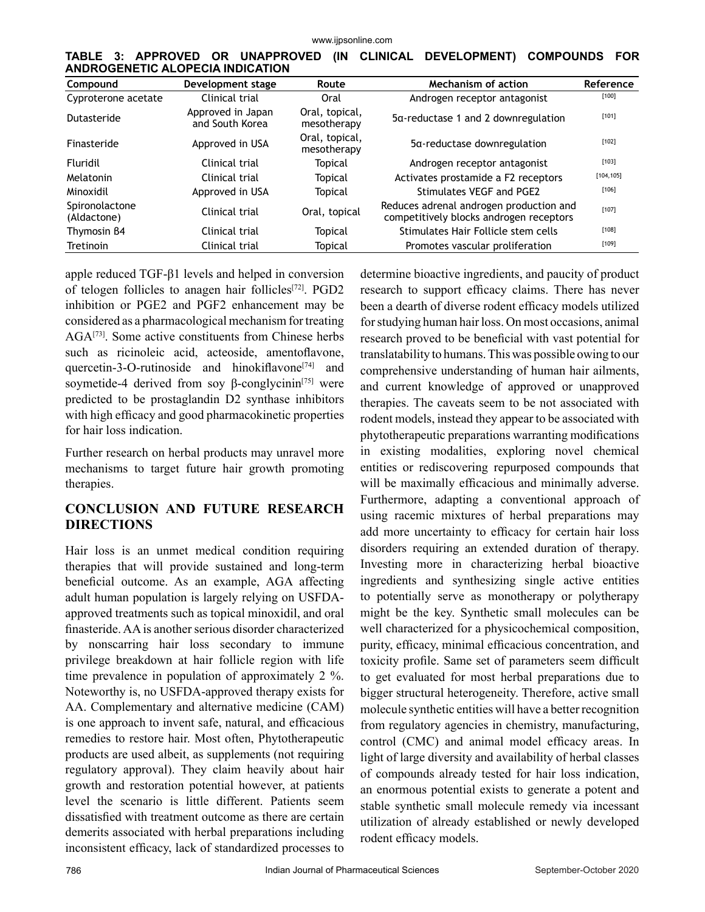|  |                                  |  |  | TABLE 3: APPROVED OR UNAPPROVED (IN CLINICAL DEVELOPMENT) COMPOUNDS FOR |  |
|--|----------------------------------|--|--|-------------------------------------------------------------------------|--|
|  | ANDROGENETIC ALOPECIA INDICATION |  |  |                                                                         |  |

| Compound                      | Development stage                    | Route                         | Mechanism of action                                                                | Reference  |
|-------------------------------|--------------------------------------|-------------------------------|------------------------------------------------------------------------------------|------------|
| Cyproterone acetate           | Clinical trial                       | Oral                          | Androgen receptor antagonist                                                       | $[100]$    |
| Dutasteride                   | Approved in Japan<br>and South Korea | Oral, topical,<br>mesotherapy | 5a-reductase 1 and 2 downregulation                                                | $[101]$    |
| Finasteride                   | Approved in USA                      | Oral, topical,<br>mesotherapy | 5a-reductase downregulation                                                        | $[102]$    |
| Fluridil                      | Clinical trial                       | <b>Topical</b>                | Androgen receptor antagonist                                                       | $[103]$    |
| Melatonin                     | Clinical trial                       | <b>Topical</b>                | Activates prostamide a F2 receptors                                                | [104, 105] |
| Minoxidil                     | Approved in USA                      | <b>Topical</b>                | Stimulates VEGF and PGE2                                                           | [106]      |
| Spironolactone<br>(Aldactone) | Clinical trial                       | Oral, topical                 | Reduces adrenal androgen production and<br>competitively blocks androgen receptors | [107]      |
| Thymosin B4                   | Clinical trial                       | Topical                       | Stimulates Hair Follicle stem cells                                                | $[108]$    |
| <b>Tretinoin</b>              | Clinical trial                       | Topical                       | Promotes vascular proliferation                                                    | $[109]$    |

apple reduced TGF-β1 levels and helped in conversion of telogen follicles to anagen hair follicles[72]. PGD2 inhibition or PGE2 and PGF2 enhancement may be considered as a pharmacological mechanism for treating AGA[73]. Some active constituents from Chinese herbs such as ricinoleic acid, acteoside, amentoflavone, quercetin-3-O-rutinoside and hinokiflavone<sup>[74]</sup> and soymetide-4 derived from soy β-conglycinin<sup>[75]</sup> were predicted to be prostaglandin D2 synthase inhibitors with high efficacy and good pharmacokinetic properties for hair loss indication.

Further research on herbal products may unravel more mechanisms to target future hair growth promoting therapies.

## **CONCLUSION AND FUTURE RESEARCH DIRECTIONS**

Hair loss is an unmet medical condition requiring therapies that will provide sustained and long-term beneficial outcome. As an example, AGA affecting adult human population is largely relying on USFDAapproved treatments such as topical minoxidil, and oral finasteride. AA is another serious disorder characterized by nonscarring hair loss secondary to immune privilege breakdown at hair follicle region with life time prevalence in population of approximately 2 %. Noteworthy is, no USFDA-approved therapy exists for AA. Complementary and alternative medicine (CAM) is one approach to invent safe, natural, and efficacious remedies to restore hair. Most often, Phytotherapeutic products are used albeit, as supplements (not requiring regulatory approval). They claim heavily about hair growth and restoration potential however, at patients level the scenario is little different. Patients seem dissatisfied with treatment outcome as there are certain demerits associated with herbal preparations including inconsistent efficacy, lack of standardized processes to determine bioactive ingredients, and paucity of product research to support efficacy claims. There has never been a dearth of diverse rodent efficacy models utilized for studying human hair loss. On most occasions, animal research proved to be beneficial with vast potential for translatability to humans. This was possible owing to our comprehensive understanding of human hair ailments, and current knowledge of approved or unapproved therapies. The caveats seem to be not associated with rodent models, instead they appear to be associated with phytotherapeutic preparations warranting modifications in existing modalities, exploring novel chemical entities or rediscovering repurposed compounds that will be maximally efficacious and minimally adverse. Furthermore, adapting a conventional approach of using racemic mixtures of herbal preparations may add more uncertainty to efficacy for certain hair loss disorders requiring an extended duration of therapy. Investing more in characterizing herbal bioactive ingredients and synthesizing single active entities to potentially serve as monotherapy or polytherapy might be the key. Synthetic small molecules can be well characterized for a physicochemical composition, purity, efficacy, minimal efficacious concentration, and toxicity profile. Same set of parameters seem difficult to get evaluated for most herbal preparations due to bigger structural heterogeneity. Therefore, active small molecule synthetic entities will have a better recognition from regulatory agencies in chemistry, manufacturing, control (CMC) and animal model efficacy areas. In light of large diversity and availability of herbal classes of compounds already tested for hair loss indication, an enormous potential exists to generate a potent and stable synthetic small molecule remedy via incessant utilization of already established or newly developed rodent efficacy models.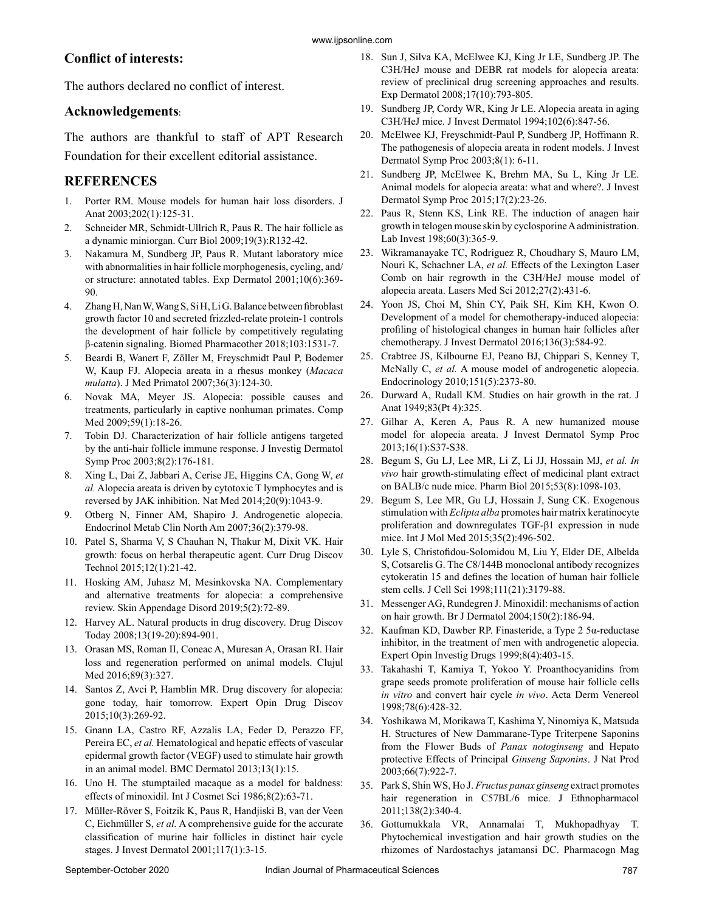# **Conflict of interests:**

The authors declared no conflict of interest.

## **Acknowledgements**:

The authors are thankful to staff of APT Research Foundation for their excellent editorial assistance.

# **REFERENCES**

- 1. Porter RM. Mouse models for human hair loss disorders. J Anat 2003;202(1):125-31.
- 2. Schneider MR, Schmidt-Ullrich R, Paus R. The hair follicle as a dynamic miniorgan. Curr Biol 2009;19(3):R132-42.
- 3. Nakamura M, Sundberg JP, Paus R. Mutant laboratory mice with abnormalities in hair follicle morphogenesis, cycling, and/ or structure: annotated tables. Exp Dermatol 2001;10(6):369- 90.
- 4. Zhang H, Nan W, Wang S, Si H, Li G. Balance between fibroblast growth factor 10 and secreted frizzled-relate protein-1 controls the development of hair follicle by competitively regulating β-catenin signaling. Biomed Pharmacother 2018;103:1531-7.
- 5. Beardi B, Wanert F, Zöller M, Freyschmidt Paul P, Bodemer W, Kaup FJ. Alopecia areata in a rhesus monkey (*Macaca mulatta*). J Med Primatol 2007;36(3):124-30.
- 6. Novak MA, Meyer JS. Alopecia: possible causes and treatments, particularly in captive nonhuman primates. Comp Med 2009;59(1):18-26.
- 7. Tobin DJ. Characterization of hair follicle antigens targeted by the anti-hair follicle immune response. J Investig Dermatol Symp Proc 2003;8(2):176-181.
- 8. Xing L, Dai Z, Jabbari A, Cerise JE, Higgins CA, Gong W, *et al.* Alopecia areata is driven by cytotoxic T lymphocytes and is reversed by JAK inhibition. Nat Med 2014;20(9):1043-9.
- 9. Otberg N, Finner AM, Shapiro J. Androgenetic alopecia. Endocrinol Metab Clin North Am 2007;36(2):379-98.
- 10. Patel S, Sharma V, S Chauhan N, Thakur M, Dixit VK. Hair growth: focus on herbal therapeutic agent. Curr Drug Discov Technol 2015;12(1):21-42.
- 11. Hosking AM, Juhasz M, Mesinkovska NA. Complementary and alternative treatments for alopecia: a comprehensive review. Skin Appendage Disord 2019;5(2):72-89.
- 12. Harvey AL. Natural products in drug discovery. Drug Discov Today 2008;13(19-20):894-901.
- 13. Orasan MS, Roman II, Coneac A, Muresan A, Orasan RI. Hair loss and regeneration performed on animal models. Clujul Med 2016;89(3):327.
- 14. Santos Z, Avci P, Hamblin MR. Drug discovery for alopecia: gone today, hair tomorrow. Expert Opin Drug Discov 2015;10(3):269-92.
- 15. Gnann LA, Castro RF, Azzalis LA, Feder D, Perazzo FF, Pereira EC, *et al.* Hematological and hepatic effects of vascular epidermal growth factor (VEGF) used to stimulate hair growth in an animal model. BMC Dermatol 2013;13(1):15.
- 16. Uno H. The stumptailed macaque as a model for baldness: effects of minoxidil. Int J Cosmet Sci 1986;8(2):63-71.
- 17. Müller-Röver S, Foitzik K, Paus R, Handjiski B, van der Veen C, Eichmüller S, *et al.* A comprehensive guide for the accurate classification of murine hair follicles in distinct hair cycle stages. J Invest Dermatol 2001;117(1):3-15.
- 18. Sun J, Silva KA, McElwee KJ, King Jr LE, Sundberg JP. The C3H/HeJ mouse and DEBR rat models for alopecia areata: review of preclinical drug screening approaches and results. Exp Dermatol 2008;17(10):793-805.
- 19. Sundberg JP, Cordy WR, King Jr LE. Alopecia areata in aging C3H/HeJ mice. J Invest Dermatol 1994;102(6):847-56.
- 20. McElwee KJ, Freyschmidt-Paul P, Sundberg JP, Hoffmann R. The pathogenesis of alopecia areata in rodent models. J Invest Dermatol Symp Proc 2003;8(1): 6-11.
- 21. Sundberg JP, McElwee K, Brehm MA, Su L, King Jr LE. Animal models for alopecia areata: what and where?. J Invest Dermatol Symp Proc 2015;17(2):23-26.
- 22. Paus R, Stenn KS, Link RE. The induction of anagen hair growth in telogen mouse skin by cyclosporine A administration. Lab Invest 198;60(3):365-9.
- 23. Wikramanayake TC, Rodriguez R, Choudhary S, Mauro LM, Nouri K, Schachner LA, *et al.* Effects of the Lexington Laser Comb on hair regrowth in the C3H/HeJ mouse model of alopecia areata. Lasers Med Sci 2012;27(2):431-6.
- 24. Yoon JS, Choi M, Shin CY, Paik SH, Kim KH, Kwon O. Development of a model for chemotherapy-induced alopecia: profiling of histological changes in human hair follicles after chemotherapy. J Invest Dermatol 2016;136(3):584-92.
- 25. Crabtree JS, Kilbourne EJ, Peano BJ, Chippari S, Kenney T, McNally C, *et al.* A mouse model of androgenetic alopecia. Endocrinology 2010;151(5):2373-80.
- 26. Durward A, Rudall KM. Studies on hair growth in the rat. J Anat 1949;83(Pt 4):325.
- 27. Gilhar A, Keren A, Paus R. A new humanized mouse model for alopecia areata. J Invest Dermatol Symp Proc 2013;16(1):S37-S38.
- 28. Begum S, Gu LJ, Lee MR, Li Z, Li JJ, Hossain MJ, *et al. In vivo* hair growth-stimulating effect of medicinal plant extract on BALB/c nude mice. Pharm Biol 2015;53(8):1098-103.
- 29. Begum S, Lee MR, Gu LJ, Hossain J, Sung CK. Exogenous stimulation with *Eclipta alba* promotes hair matrix keratinocyte proliferation and downregulates TGF-β1 expression in nude mice. Int J Mol Med 2015;35(2):496-502.
- 30. Lyle S, Christofidou-Solomidou M, Liu Y, Elder DE, Albelda S, Cotsarelis G. The C8/144B monoclonal antibody recognizes cytokeratin 15 and defines the location of human hair follicle stem cells. J Cell Sci 1998;111(21):3179-88.
- 31. Messenger AG, Rundegren J. Minoxidil: mechanisms of action on hair growth. Br J Dermatol 2004;150(2):186-94.
- 32. Kaufman KD, Dawber RP. Finasteride, a Type 2 5α-reductase inhibitor, in the treatment of men with androgenetic alopecia. Expert Opin Investig Drugs 1999;8(4):403-15.
- 33. Takahashi T, Kamiya T, Yokoo Y. Proanthocyanidins from grape seeds promote proliferation of mouse hair follicle cells *in vitro* and convert hair cycle *in vivo*. Acta Derm Venereol 1998;78(6):428-32.
- 34. Yoshikawa M, Morikawa T, Kashima Y, Ninomiya K, Matsuda H. Structures of New Dammarane-Type Triterpene Saponins from the Flower Buds of *Panax notoginseng* and Hepato protective Effects of Principal *Ginseng Saponins*. J Nat Prod 2003;66(7):922-7.
- 35. Park S, Shin WS, Ho J. *Fructus panax ginseng* extract promotes hair regeneration in C57BL/6 mice. J Ethnopharmacol 2011;138(2):340-4.
- 36. Gottumukkala VR, Annamalai T, Mukhopadhyay T. Phytochemical investigation and hair growth studies on the rhizomes of Nardostachys jatamansi DC. Pharmacogn Mag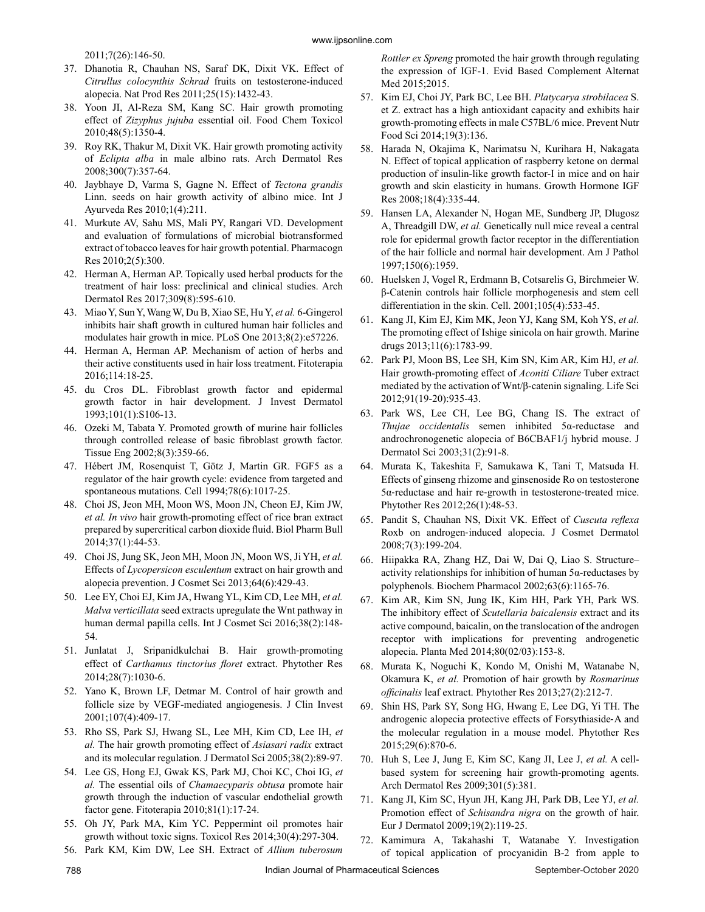2011;7(26):146-50.

- 37. Dhanotia R, Chauhan NS, Saraf DK, Dixit VK. Effect of *Citrullus colocynthis Schrad* fruits on testosterone-induced alopecia. Nat Prod Res 2011;25(15):1432-43.
- 38. Yoon JI, Al-Reza SM, Kang SC. Hair growth promoting effect of *Zizyphus jujuba* essential oil. Food Chem Toxicol 2010;48(5):1350-4.
- 39. Roy RK, Thakur M, Dixit VK. Hair growth promoting activity of *Eclipta alba* in male albino rats. Arch Dermatol Res 2008;300(7):357-64.
- 40. Jaybhaye D, Varma S, Gagne N. Effect of *Tectona grandis* Linn. seeds on hair growth activity of albino mice. Int J Ayurveda Res 2010;1(4):211.
- 41. Murkute AV, Sahu MS, Mali PY, Rangari VD. Development and evaluation of formulations of microbial biotransformed extract of tobacco leaves for hair growth potential. Pharmacogn Res 2010;2(5):300.
- 42. Herman A, Herman AP. Topically used herbal products for the treatment of hair loss: preclinical and clinical studies. Arch Dermatol Res 2017;309(8):595-610.
- 43. Miao Y, Sun Y, Wang W, Du B, Xiao SE, Hu Y, *et al.* 6-Gingerol inhibits hair shaft growth in cultured human hair follicles and modulates hair growth in mice. PLoS One 2013;8(2):e57226.
- 44. Herman A, Herman AP. Mechanism of action of herbs and their active constituents used in hair loss treatment. Fitoterapia 2016;114:18-25.
- 45. du Cros DL. Fibroblast growth factor and epidermal growth factor in hair development. J Invest Dermatol 1993;101(1):S106-13.
- 46. Ozeki M, Tabata Y. Promoted growth of murine hair follicles through controlled release of basic fibroblast growth factor. Tissue Eng 2002;8(3):359-66.
- 47. Hébert JM, Rosenquist T, Götz J, Martin GR. FGF5 as a regulator of the hair growth cycle: evidence from targeted and spontaneous mutations. Cell 1994;78(6):1017-25.
- 48. Choi JS, Jeon MH, Moon WS, Moon JN, Cheon EJ, Kim JW, *et al. In vivo* hair growth-promoting effect of rice bran extract prepared by supercritical carbon dioxide fluid. Biol Pharm Bull 2014;37(1):44-53.
- 49. Choi JS, Jung SK, Jeon MH, Moon JN, Moon WS, Ji YH, *et al.* Effects of *Lycopersicon esculentum* extract on hair growth and alopecia prevention. J Cosmet Sci 2013;64(6):429-43.
- 50. Lee EY, Choi EJ, Kim JA, Hwang YL, Kim CD, Lee MH, *et al. Malva verticillata* seed extracts upregulate the Wnt pathway in human dermal papilla cells. Int J Cosmet Sci 2016;38(2):148- 54.
- 51. Junlatat J, Sripanidkulchai B. Hair growth‐promoting effect of *Carthamus tinctorius floret* extract. Phytother Res 2014;28(7):1030-6.
- 52. Yano K, Brown LF, Detmar M. Control of hair growth and follicle size by VEGF-mediated angiogenesis. J Clin Invest 2001;107(4):409-17.
- 53. Rho SS, Park SJ, Hwang SL, Lee MH, Kim CD, Lee IH, *et al.* The hair growth promoting effect of *Asiasari radix* extract and its molecular regulation. J Dermatol Sci 2005;38(2):89-97.
- 54. Lee GS, Hong EJ, Gwak KS, Park MJ, Choi KC, Choi IG, *et al.* The essential oils of *Chamaecyparis obtusa* promote hair growth through the induction of vascular endothelial growth factor gene. Fitoterapia 2010;81(1):17-24.
- 55. Oh JY, Park MA, Kim YC. Peppermint oil promotes hair growth without toxic signs. Toxicol Res 2014;30(4):297-304.
- 56. Park KM, Kim DW, Lee SH. Extract of *Allium tuberosum*

*Rottler ex Spreng* promoted the hair growth through regulating the expression of IGF-1. Evid Based Complement Alternat Med 2015;2015.

- 57. Kim EJ, Choi JY, Park BC, Lee BH. *Platycarya strobilacea* S. et Z. extract has a high antioxidant capacity and exhibits hair growth-promoting effects in male C57BL/6 mice. Prevent Nutr Food Sci 2014;19(3):136.
- 58. Harada N, Okajima K, Narimatsu N, Kurihara H, Nakagata N. Effect of topical application of raspberry ketone on dermal production of insulin-like growth factor-I in mice and on hair growth and skin elasticity in humans. Growth Hormone IGF Res 2008;18(4):335-44.
- 59. Hansen LA, Alexander N, Hogan ME, Sundberg JP, Dlugosz A, Threadgill DW, *et al.* Genetically null mice reveal a central role for epidermal growth factor receptor in the differentiation of the hair follicle and normal hair development. Am J Pathol 1997;150(6):1959.
- 60. Huelsken J, Vogel R, Erdmann B, Cotsarelis G, Birchmeier W. β-Catenin controls hair follicle morphogenesis and stem cell differentiation in the skin. Cell. 2001;105(4):533-45.
- 61. Kang JI, Kim EJ, Kim MK, Jeon YJ, Kang SM, Koh YS, *et al.* The promoting effect of Ishige sinicola on hair growth. Marine drugs 2013;11(6):1783-99.
- 62. Park PJ, Moon BS, Lee SH, Kim SN, Kim AR, Kim HJ, *et al.* Hair growth-promoting effect of *Aconiti Ciliare* Tuber extract mediated by the activation of Wnt/β-catenin signaling. Life Sci 2012;91(19-20):935-43.
- 63. Park WS, Lee CH, Lee BG, Chang IS. The extract of *Thujae occidentalis* semen inhibited 5α-reductase and androchronogenetic alopecia of B6CBAF1/j hybrid mouse. J Dermatol Sci 2003;31(2):91-8.
- 64. Murata K, Takeshita F, Samukawa K, Tani T, Matsuda H. Effects of ginseng rhizome and ginsenoside Ro on testosterone 5α‐reductase and hair re‐growth in testosterone‐treated mice. Phytother Res 2012;26(1):48-53.
- 65. Pandit S, Chauhan NS, Dixit VK. Effect of *Cuscuta reflexa* Roxb on androgen‐induced alopecia. J Cosmet Dermatol 2008;7(3):199-204.
- 66. Hiipakka RA, Zhang HZ, Dai W, Dai Q, Liao S. Structure– activity relationships for inhibition of human 5α-reductases by polyphenols. Biochem Pharmacol 2002;63(6):1165-76.
- 67. Kim AR, Kim SN, Jung IK, Kim HH, Park YH, Park WS. The inhibitory effect of *Scutellaria baicalensis* extract and its active compound, baicalin, on the translocation of the androgen receptor with implications for preventing androgenetic alopecia. Planta Med 2014;80(02/03):153-8.
- 68. Murata K, Noguchi K, Kondo M, Onishi M, Watanabe N, Okamura K, *et al.* Promotion of hair growth by *Rosmarinus officinalis* leaf extract. Phytother Res 2013;27(2):212-7.
- 69. Shin HS, Park SY, Song HG, Hwang E, Lee DG, Yi TH. The androgenic alopecia protective effects of Forsythiaside‐A and the molecular regulation in a mouse model. Phytother Res 2015;29(6):870-6.
- 70. Huh S, Lee J, Jung E, Kim SC, Kang JI, Lee J, *et al.* A cellbased system for screening hair growth-promoting agents. Arch Dermatol Res 2009;301(5):381.
- 71. Kang JI, Kim SC, Hyun JH, Kang JH, Park DB, Lee YJ, *et al.* Promotion effect of *Schisandra nigra* on the growth of hair. Eur J Dermatol 2009;19(2):119-25.
- 72. Kamimura A, Takahashi T, Watanabe Y. Investigation of topical application of procyanidin B-2 from apple to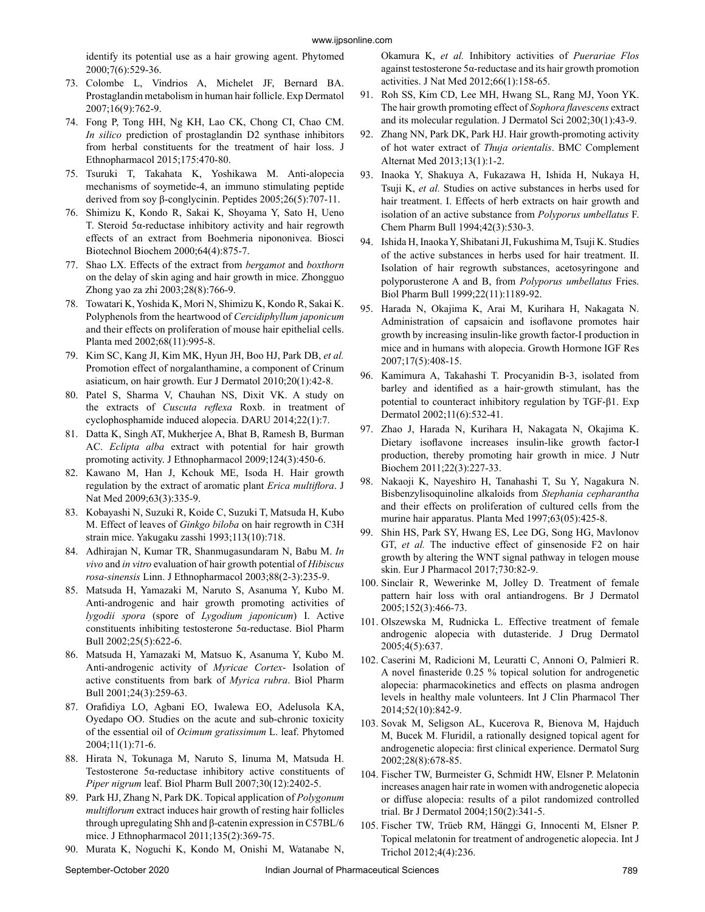identify its potential use as a hair growing agent. Phytomed 2000;7(6):529-36.

- 73. Colombe L, Vindrios A, Michelet JF, Bernard BA. Prostaglandin metabolism in human hair follicle. Exp Dermatol 2007;16(9):762-9.
- 74. Fong P, Tong HH, Ng KH, Lao CK, Chong CI, Chao CM. *In silico* prediction of prostaglandin D2 synthase inhibitors from herbal constituents for the treatment of hair loss. J Ethnopharmacol 2015;175:470-80.
- 75. Tsuruki T, Takahata K, Yoshikawa M. Anti-alopecia mechanisms of soymetide-4, an immuno stimulating peptide derived from soy β-conglycinin. Peptides 2005;26(5):707-11.
- 76. Shimizu K, Kondo R, Sakai K, Shoyama Y, Sato H, Ueno T. Steroid 5α-reductase inhibitory activity and hair regrowth effects of an extract from Boehmeria nipononivea. Biosci Biotechnol Biochem 2000;64(4):875-7.
- 77. Shao LX. Effects of the extract from *bergamot* and *boxthorn* on the delay of skin aging and hair growth in mice. Zhongguo Zhong yao za zhi 2003;28(8):766-9.
- 78. Towatari K, Yoshida K, Mori N, Shimizu K, Kondo R, Sakai K. Polyphenols from the heartwood of *Cercidiphyllum japonicum* and their effects on proliferation of mouse hair epithelial cells. Planta med 2002;68(11):995-8.
- 79. Kim SC, Kang JI, Kim MK, Hyun JH, Boo HJ, Park DB, *et al.* Promotion effect of norgalanthamine, a component of Crinum asiaticum, on hair growth. Eur J Dermatol 2010;20(1):42-8.
- 80. Patel S, Sharma V, Chauhan NS, Dixit VK. A study on the extracts of *Cuscuta reflexa* Roxb. in treatment of cyclophosphamide induced alopecia. DARU 2014;22(1):7.
- 81. Datta K, Singh AT, Mukherjee A, Bhat B, Ramesh B, Burman AC. *Eclipta alba* extract with potential for hair growth promoting activity. J Ethnopharmacol 2009;124(3):450-6.
- 82. Kawano M, Han J, Kchouk ME, Isoda H. Hair growth regulation by the extract of aromatic plant *Erica multiflora*. J Nat Med 2009;63(3):335-9.
- 83. Kobayashi N, Suzuki R, Koide C, Suzuki T, Matsuda H, Kubo M. Effect of leaves of *Ginkgo biloba* on hair regrowth in C3H strain mice. Yakugaku zasshi 1993;113(10):718.
- 84. Adhirajan N, Kumar TR, Shanmugasundaram N, Babu M. *In vivo* and *in vitro* evaluation of hair growth potential of *Hibiscus rosa-sinensis* Linn. J Ethnopharmacol 2003;88(2-3):235-9.
- 85. Matsuda H, Yamazaki M, Naruto S, Asanuma Y, Kubo M. Anti-androgenic and hair growth promoting activities of *lygodii spora* (spore of *Lygodium japonicum*) I. Active constituents inhibiting testosterone 5α-reductase. Biol Pharm Bull 2002;25(5):622-6.
- 86. Matsuda H, Yamazaki M, Matsuo K, Asanuma Y, Kubo M. Anti-androgenic activity of *Myricae Cortex*- Isolation of active constituents from bark of *Myrica rubra*. Biol Pharm Bull 2001;24(3):259-63.
- 87. Orafidiya LO, Agbani EO, Iwalewa EO, Adelusola KA, Oyedapo OO. Studies on the acute and sub-chronic toxicity of the essential oil of *Ocimum gratissimum* L. leaf. Phytomed 2004;11(1):71-6.
- 88. Hirata N, Tokunaga M, Naruto S, Iinuma M, Matsuda H. Testosterone 5α-reductase inhibitory active constituents of *Piper nigrum* leaf. Biol Pharm Bull 2007;30(12):2402-5.
- 89. Park HJ, Zhang N, Park DK. Topical application of *Polygonum multiflorum* extract induces hair growth of resting hair follicles through upregulating Shh and β-catenin expression in C57BL/6 mice. J Ethnopharmacol 2011;135(2):369-75.
- 90. Murata K, Noguchi K, Kondo M, Onishi M, Watanabe N,

Okamura K, *et al.* Inhibitory activities of *Puerariae Flos* against testosterone 5α-reductase and its hair growth promotion activities. J Nat Med 2012;66(1):158-65.

- 91. Roh SS, Kim CD, Lee MH, Hwang SL, Rang MJ, Yoon YK. The hair growth promoting effect of *Sophora flavescens* extract and its molecular regulation. J Dermatol Sci 2002;30(1):43-9.
- 92. Zhang NN, Park DK, Park HJ. Hair growth-promoting activity of hot water extract of *Thuja orientalis*. BMC Complement Alternat Med 2013;13(1):1-2.
- 93. Inaoka Y, Shakuya A, Fukazawa H, Ishida H, Nukaya H, Tsuji K, *et al.* Studies on active substances in herbs used for hair treatment. I. Effects of herb extracts on hair growth and isolation of an active substance from *Polyporus umbellatus* F. Chem Pharm Bull 1994;42(3):530-3.
- 94. Ishida H, Inaoka Y, Shibatani JI, Fukushima M, Tsuji K. Studies of the active substances in herbs used for hair treatment. II. Isolation of hair regrowth substances, acetosyringone and polyporusterone A and B, from *Polyporus umbellatus* Fries. Biol Pharm Bull 1999;22(11):1189-92.
- 95. Harada N, Okajima K, Arai M, Kurihara H, Nakagata N. Administration of capsaicin and isoflavone promotes hair growth by increasing insulin-like growth factor-I production in mice and in humans with alopecia. Growth Hormone IGF Res 2007;17(5):408-15.
- 96. Kamimura A, Takahashi T. Procyanidin B‐3, isolated from barley and identified as a hair‐growth stimulant, has the potential to counteract inhibitory regulation by TGF‐β1. Exp Dermatol 2002;11(6):532-41.
- 97. Zhao J, Harada N, Kurihara H, Nakagata N, Okajima K. Dietary isoflavone increases insulin-like growth factor-I production, thereby promoting hair growth in mice. J Nutr Biochem 2011;22(3):227-33.
- 98. Nakaoji K, Nayeshiro H, Tanahashi T, Su Y, Nagakura N. Bisbenzylisoquinoline alkaloids from *Stephania cepharantha* and their effects on proliferation of cultured cells from the murine hair apparatus. Planta Med 1997;63(05):425-8.
- 99. Shin HS, Park SY, Hwang ES, Lee DG, Song HG, Mavlonov GT, *et al.* The inductive effect of ginsenoside F2 on hair growth by altering the WNT signal pathway in telogen mouse skin. Eur J Pharmacol 2017;730:82-9.
- 100. Sinclair R, Wewerinke M, Jolley D. Treatment of female pattern hair loss with oral antiandrogens. Br J Dermatol 2005;152(3):466-73.
- 101. Olszewska M, Rudnicka L. Effective treatment of female androgenic alopecia with dutasteride. J Drug Dermatol 2005;4(5):637.
- 102. Caserini M, Radicioni M, Leuratti C, Annoni O, Palmieri R. A novel finasteride 0.25 % topical solution for androgenetic alopecia: pharmacokinetics and effects on plasma androgen levels in healthy male volunteers. Int J Clin Pharmacol Ther 2014;52(10):842-9.
- 103. Sovak M, Seligson AL, Kucerova R, Bienova M, Hajduch M, Bucek M. Fluridil, a rationally designed topical agent for androgenetic alopecia: first clinical experience. Dermatol Surg 2002;28(8):678-85.
- 104. Fischer TW, Burmeister G, Schmidt HW, Elsner P. Melatonin increases anagen hair rate in women with androgenetic alopecia or diffuse alopecia: results of a pilot randomized controlled trial. Br J Dermatol 2004;150(2):341-5.
- 105. Fischer TW, Trüeb RM, Hänggi G, Innocenti M, Elsner P. Topical melatonin for treatment of androgenetic alopecia. Int J Trichol 2012;4(4):236.